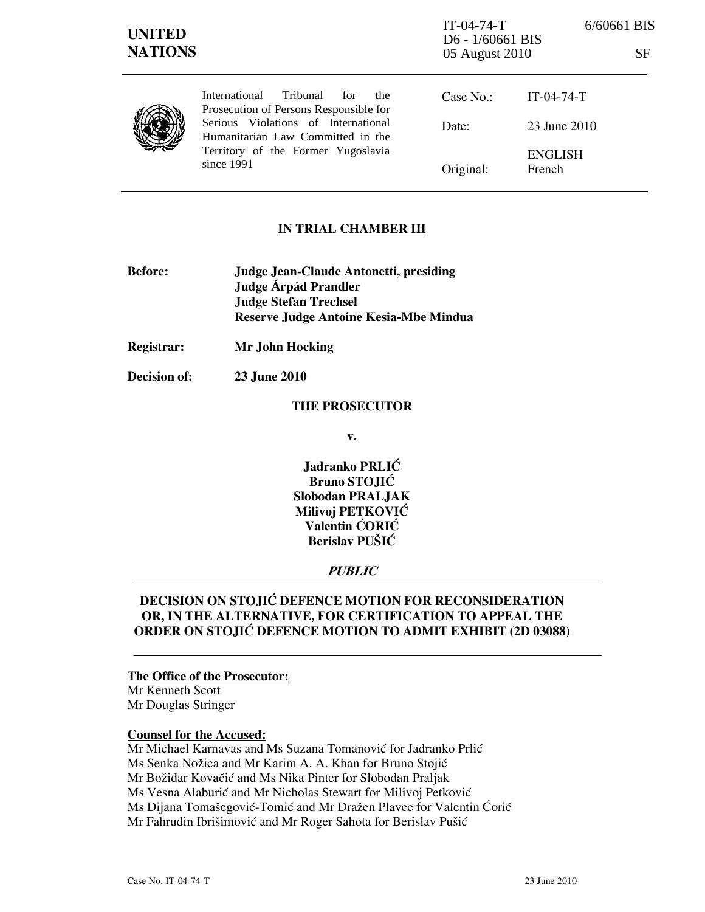| <b>UNITED</b><br><b>NATIONS</b> |                                                                                                                                                                                                                     | $IT-04-74-T$<br>D6 - 1/60661 BIS<br>05 August 2010 | 6/60661 BIS<br><b>SF</b> |
|---------------------------------|---------------------------------------------------------------------------------------------------------------------------------------------------------------------------------------------------------------------|----------------------------------------------------|--------------------------|
|                                 | Tribunal<br>International<br>for<br>the<br>Prosecution of Persons Responsible for<br>Serious Violations of International<br>Humanitarian Law Committed in the<br>Territory of the Former Yugoslavia<br>since $1991$ | Case No.:                                          | $IT-04-74-T$             |
|                                 |                                                                                                                                                                                                                     | Date:                                              | 23 June 2010             |
|                                 |                                                                                                                                                                                                                     | Original:                                          | <b>ENGLISH</b><br>French |

## IN TRIAL CHAMBER III

- Before: Judge Jean-Claude Antonetti, presiding Judge **Árpád Prandler**  Judge Stefan Trechsel Reserve Judge Antoine Kesia-Mbe Mindua
- Registrar: Mr John Hocking

Decision of: 23 June 2010

### THE PROSECUTOR

v.

Jadranko PRLIĆ Bruno STOJIĆ Slobodan PRALJAK Milivoj PETKOVIĆ Valentin ĆORIĆ Berislav PUŠIĆ

## PUBLIC

# DECISION ON STOJIĆ DEFENCE MOTION FOR RECONSIDERATION OR, IN THE ALTERNATIVE, FOR CERTIFICATION TO APPEAL THE ORDER ON STOJIĆ DEFENCE MOTION TO ADMIT EXHIBIT (2D 03088)

### The Office of the Prosecutor:

Mr Kenneth Scott Mr Douglas Stringer

## Counsel for the Accused:

Mr Michael Karnavas and Ms Suzana Tomanović for Jadranko Prlić Ms Senka Nožica and Mr Karim A. A. Khan for Bruno Stojić Mr Božidar Kovačić and Ms Nika Pinter for Slobodan Praljak Ms Vesna Alaburić and Mr Nicholas Stewart for Milivoj Petković Ms Dijana Tomašegović-Tomić and Mr Dražen Plavec for Valentin Ćorić Mr Fahrudin Ibrišimović and Mr Roger Sahota for Berislav Pušić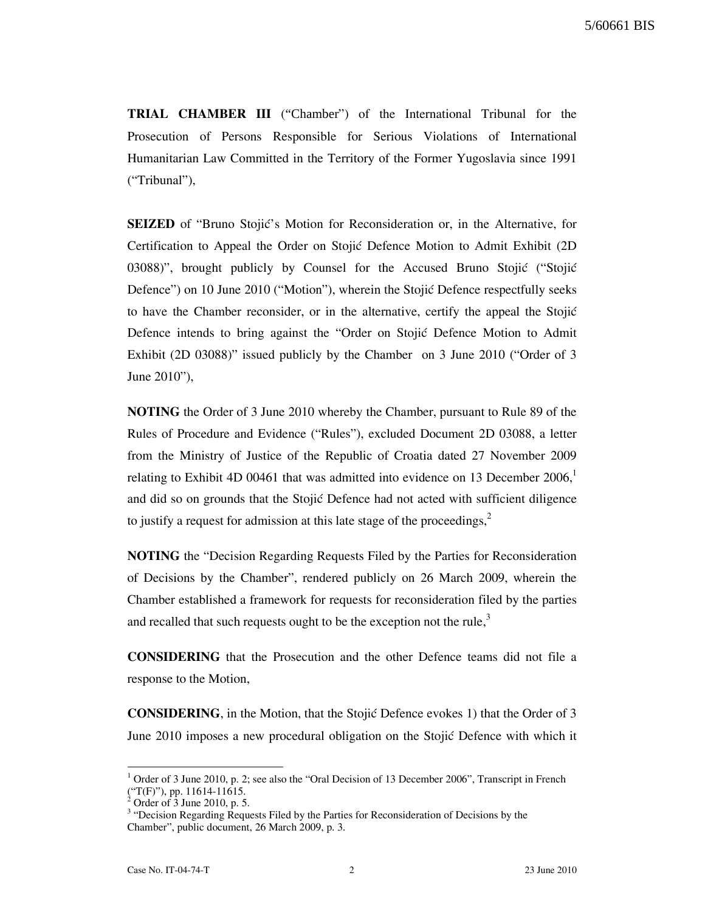TRIAL CHAMBER III ("Chamber") of the International Tribunal for the Prosecution of Persons Responsible for Serious Violations of International Humanitarian Law Committed in the Territory of the Former Yugoslavia since 1991 ("Tribunal"),

**SEIZED** of "Bruno Stojić's Motion for Reconsideration or, in the Alternative, for Certification to Appeal the Order on Stojić Defence Motion to Admit Exhibit (2D)  $03088$ ", brought publicly by Counsel for the Accused Bruno Stojić ("Stojić" Defence") on 10 June 2010 ("Motion"), wherein the Stojić Defence respectfully seeks to have the Chamber reconsider, or in the alternative, certify the appeal the Stojić Defence intends to bring against the "Order on Stojić Defence Motion to Admit Exhibit (2D 03088)" issued publicly by the Chamber on 3 June 2010 ("Order of 3 June 2010"),

NOTING the Order of 3 June 2010 whereby the Chamber, pursuant to Rule 89 of the Rules of Procedure and Evidence ("Rules"), excluded Document 2D 03088, a letter from the Ministry of Justice of the Republic of Croatia dated 27 November 2009 relating to Exhibit 4D 00461 that was admitted into evidence on 13 December  $2006<sup>1</sup>$ and did so on grounds that the Stojić Defence had not acted with sufficient diligence to justify a request for admission at this late stage of the proceedings, $<sup>2</sup>$ </sup>

NOTING the "Decision Regarding Requests Filed by the Parties for Reconsideration of Decisions by the Chamber", rendered publicly on 26 March 2009, wherein the Chamber established a framework for requests for reconsideration filed by the parties and recalled that such requests ought to be the exception not the rule, $3$ 

CONSIDERING that the Prosecution and the other Defence teams did not file a response to the Motion,

**CONSIDERING**, in the Motion, that the Stojic Defence evokes 1) that the Order of 3 June 2010 imposes a new procedural obligation on the Stojić Defence with which it

 $\overline{a}$ 

 $1$  Order of 3 June 2010, p. 2; see also the "Oral Decision of 13 December 2006", Transcript in French  $\binom{4}{1}$  ("T(F)"), pp. 11614-11615.

Order of 3 June 2010, p. 5.

<sup>&</sup>lt;sup>3</sup> "Decision Regarding Requests Filed by the Parties for Reconsideration of Decisions by the Chamber", public document, 26 March 2009, p. 3.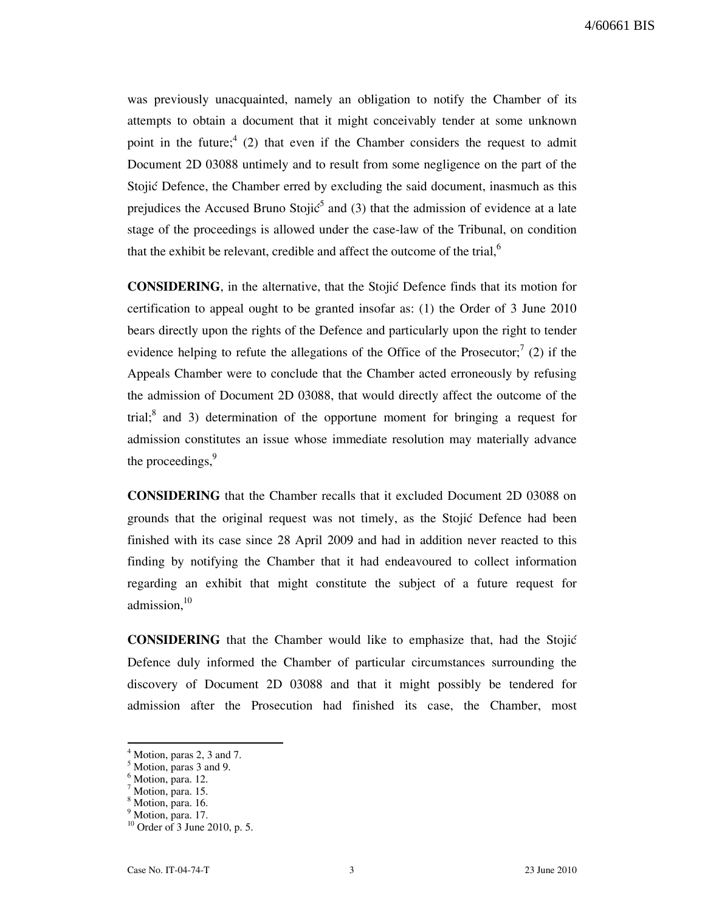was previously unacquainted, namely an obligation to notify the Chamber of its attempts to obtain a document that it might conceivably tender at some unknown point in the future;<sup>4</sup> (2) that even if the Chamber considers the request to admit Document 2D 03088 untimely and to result from some negligence on the part of the Stojić Defence, the Chamber erred by excluding the said document, inasmuch as this prejudices the Accused Bruno Stoji $\zeta^5$  and (3) that the admission of evidence at a late stage of the proceedings is allowed under the case-law of the Tribunal, on condition that the exhibit be relevant, credible and affect the outcome of the trial, $<sup>6</sup>$ </sup>

**CONSIDERING**, in the alternative, that the Stojić Defence finds that its motion for certification to appeal ought to be granted insofar as: (1) the Order of 3 June 2010 bears directly upon the rights of the Defence and particularly upon the right to tender evidence helping to refute the allegations of the Office of the Prosecutor;<sup>7</sup> (2) if the Appeals Chamber were to conclude that the Chamber acted erroneously by refusing the admission of Document 2D 03088, that would directly affect the outcome of the trial; $^8$  and 3) determination of the opportune moment for bringing a request for admission constitutes an issue whose immediate resolution may materially advance the proceedings,<sup>9</sup>

CONSIDERING that the Chamber recalls that it excluded Document 2D 03088 on grounds that the original request was not timely, as the Stojić Defence had been finished with its case since 28 April 2009 and had in addition never reacted to this finding by notifying the Chamber that it had endeavoured to collect information regarding an exhibit that might constitute the subject of a future request for admission,<sup>10</sup>

CONSIDERING that the Chamber would like to emphasize that, had the Stojić Defence duly informed the Chamber of particular circumstances surrounding the discovery of Document 2D 03088 and that it might possibly be tendered for admission after the Prosecution had finished its case, the Chamber, most

 $\overline{a}$ 

<sup>4</sup> Motion, paras 2, 3 and 7.

<sup>5</sup> Motion, paras 3 and 9.

<sup>&</sup>lt;sup>6</sup> Motion, para. 12.

 $^7$  Motion, para. 15.

Motion, para. 16.

<sup>&</sup>lt;sup>9</sup> Motion, para. 17.

<sup>10</sup> Order of 3 June 2010, p. 5.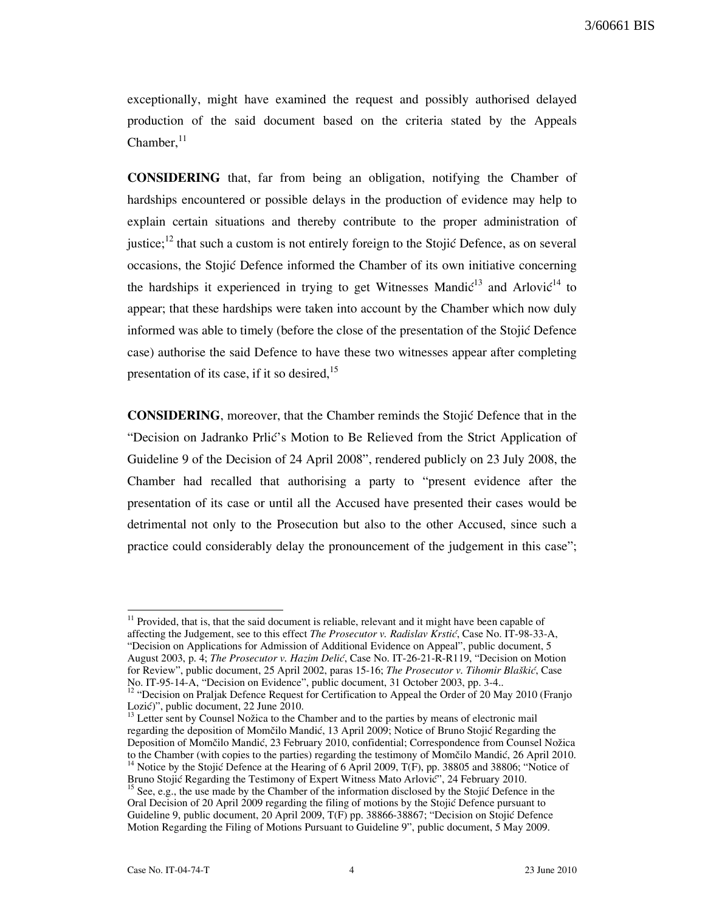exceptionally, might have examined the request and possibly authorised delayed production of the said document based on the criteria stated by the Appeals Chamber, $11$ 

CONSIDERING that, far from being an obligation, notifying the Chamber of hardships encountered or possible delays in the production of evidence may help to explain certain situations and thereby contribute to the proper administration of justice;<sup>12</sup> that such a custom is not entirely foreign to the Stojić Defence, as on several occasions, the Stojić Defence informed the Chamber of its own initiative concerning the hardships it experienced in trying to get Witnesses Mandi $\zeta^{13}$  and Arlovi $\zeta^{14}$  to appear; that these hardships were taken into account by the Chamber which now duly informed was able to timely (before the close of the presentation of the Stojic Defence case) authorise the said Defence to have these two witnesses appear after completing presentation of its case, if it so desired, $^{15}$ 

**CONSIDERING**, moreover, that the Chamber reminds the Stojić Defence that in the "Decision on Jadranko Prlić's Motion to Be Relieved from the Strict Application of Guideline 9 of the Decision of 24 April 2008", rendered publicly on 23 July 2008, the Chamber had recalled that authorising a party to "present evidence after the presentation of its case or until all the Accused have presented their cases would be detrimental not only to the Prosecution but also to the other Accused, since such a practice could considerably delay the pronouncement of the judgement in this case";

 $\overline{\phantom{a}}$  $11$  Provided, that is, that the said document is reliable, relevant and it might have been capable of affecting the Judgement, see to this effect The Prosecutor v. Radislav Krstić, Case No. IT-98-33-A, "Decision on Applications for Admission of Additional Evidence on Appeal", public document, 5 August 2003, p. 4; The Prosecutor v. Hazim Delić, Case No. IT-26-21-R-R119, "Decision on Motion for Review", public document, 25 April 2002, paras 15-16; The Prosecutor v. Tihomir Blaškić, Case No. IT-95-14-A, "Decision on Evidence", public document, 31 October 2003, pp. 3-4..

<sup>13</sup> Letter sent by Counsel Nožica to the Chamber and to the parties by means of electronic mail regarding the deposition of Momčilo Mandić, 13 April 2009; Notice of Bruno Stojić Regarding the Deposition of Momčilo Mandić, 23 February 2010, confidential; Correspondence from Counsel Nožica to the Chamber (with copies to the parties) regarding the testimony of Momčilo Mandić, 26 April 2010. <sup>14</sup> Notice by the Stojić Defence at the Hearing of 6 April 2009, T(F), pp. 38805 and 38806; "Notice of Bruno Stojić Regarding the Testimony of Expert Witness Mato Arlović", 24 February 2010.

<sup>&</sup>lt;sup>12</sup> "Decision on Praljak Defence Request for Certification to Appeal the Order of 20 May 2010 (Franjo Lozić)", public document, 22 June 2010.

<sup>&</sup>lt;sup>15</sup> See, e.g., the use made by the Chamber of the information disclosed by the Stojić Defence in the Oral Decision of 20 April 2009 regarding the filing of motions by the Stojić Defence pursuant to Guideline 9, public document, 20 April 2009, T(F) pp. 38866-38867; "Decision on Stojić Defence Motion Regarding the Filing of Motions Pursuant to Guideline 9", public document, 5 May 2009.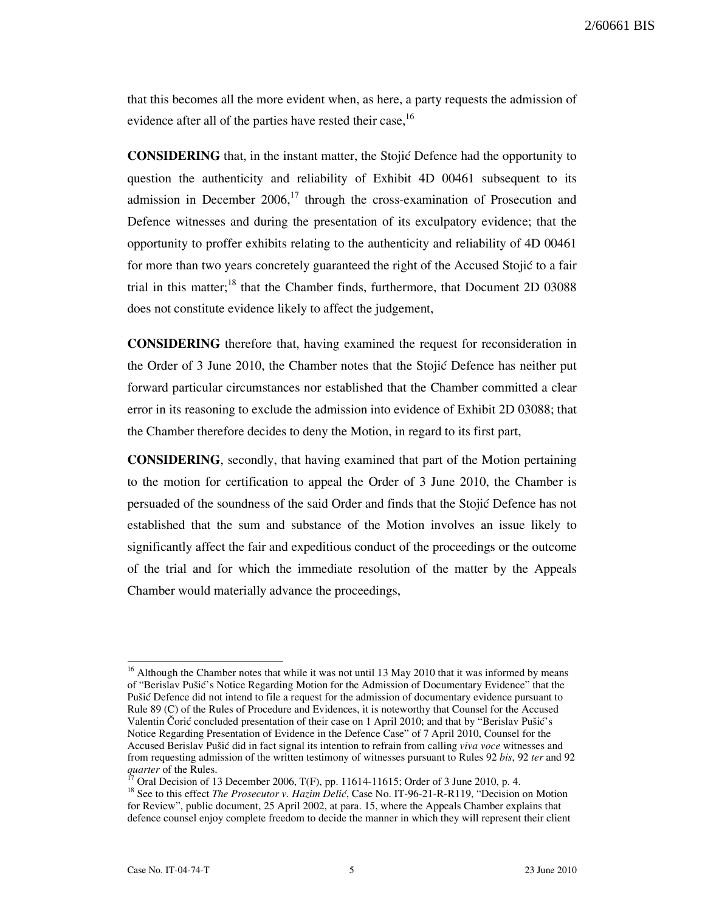2/60661 BIS

that this becomes all the more evident when, as here, a party requests the admission of evidence after all of the parties have rested their case,<sup>16</sup>

**CONSIDERING** that, in the instant matter, the Stojić Defence had the opportunity to question the authenticity and reliability of Exhibit 4D 00461 subsequent to its admission in December  $2006$ ,<sup>17</sup> through the cross-examination of Prosecution and Defence witnesses and during the presentation of its exculpatory evidence; that the opportunity to proffer exhibits relating to the authenticity and reliability of 4D 00461 for more than two years concretely guaranteed the right of the Accused Stojić to a fair trial in this matter;<sup>18</sup> that the Chamber finds, furthermore, that Document 2D 03088 does not constitute evidence likely to affect the judgement,

CONSIDERING therefore that, having examined the request for reconsideration in the Order of 3 June 2010, the Chamber notes that the Stojić Defence has neither put forward particular circumstances nor established that the Chamber committed a clear error in its reasoning to exclude the admission into evidence of Exhibit 2D 03088; that the Chamber therefore decides to deny the Motion, in regard to its first part,

CONSIDERING, secondly, that having examined that part of the Motion pertaining to the motion for certification to appeal the Order of 3 June 2010, the Chamber is persuaded of the soundness of the said Order and finds that the Stojic Defence has not established that the sum and substance of the Motion involves an issue likely to significantly affect the fair and expeditious conduct of the proceedings or the outcome of the trial and for which the immediate resolution of the matter by the Appeals Chamber would materially advance the proceedings,

 $\overline{a}$  $16$  Although the Chamber notes that while it was not until 13 May 2010 that it was informed by means of "Berislav Pušić's Notice Regarding Motion for the Admission of Documentary Evidence" that the Pušić Defence did not intend to file a request for the admission of documentary evidence pursuant to Rule 89 (C) of the Rules of Procedure and Evidences, it is noteworthy that Counsel for the Accused Valentin Čorić concluded presentation of their case on 1 April 2010; and that by "Berislav Pušić's Notice Regarding Presentation of Evidence in the Defence Case" of 7 April 2010, Counsel for the Accused Berislav Pušić did in fact signal its intention to refrain from calling viva voce witnesses and from requesting admission of the written testimony of witnesses pursuant to Rules 92 bis, 92 ter and 92 quarter of the Rules.

<sup>&</sup>lt;sup>17</sup> Oral Decision of 13 December 2006, T(F), pp. 11614-11615; Order of 3 June 2010, p. 4.

<sup>&</sup>lt;sup>18</sup> See to this effect *The Prosecutor v. Hazim Delić*, Case No. IT-96-21-R-R119, "Decision on Motion for Review", public document, 25 April 2002, at para. 15, where the Appeals Chamber explains that defence counsel enjoy complete freedom to decide the manner in which they will represent their client